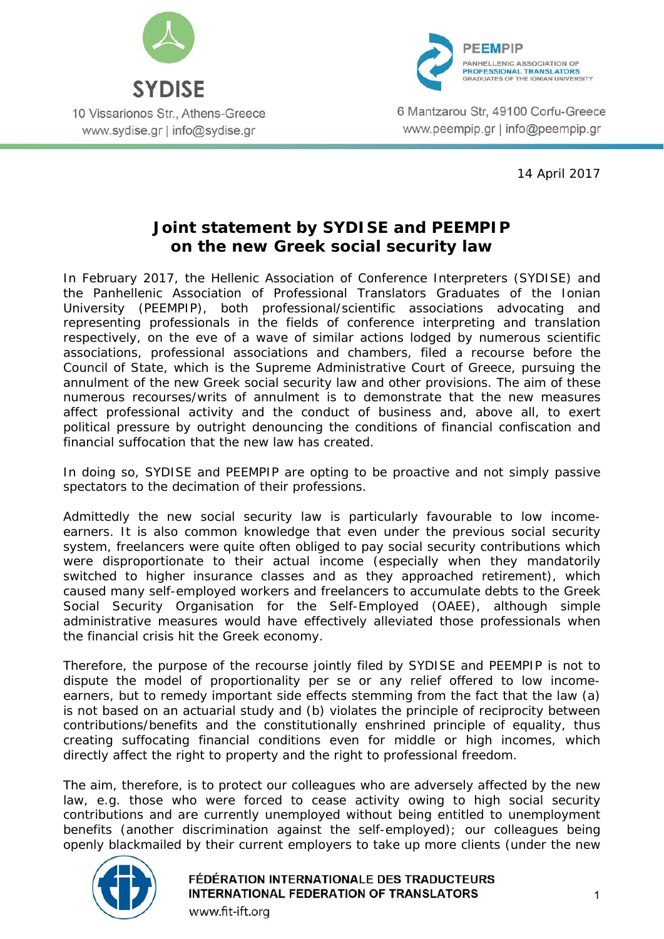



6 Mantzarou Str. 49100 Corfu-Greece www.peempip.gr | info@peempip.gr

14 April 2017

## **Joint statement by SYDISE and PEEMPIP on the new Greek social security law**

In February 2017, the Hellenic Association of Conference Interpreters (SYDISE) and the Panhellenic Association of Professional Translators Graduates of the Ionian University (PEEMPIP), both professional/scientific associations advocating and representing professionals in the fields of conference interpreting and translation respectively, on the eve of a wave of similar actions lodged by numerous scientific associations, professional associations and chambers, filed a recourse before the Council of State, which is the Supreme Administrative Court of Greece, pursuing the annulment of the new Greek social security law and other provisions. The aim of these numerous recourses/writs of annulment is to demonstrate that the new measures affect professional activity and the conduct of business and, above all, to exert political pressure by outright denouncing the conditions of financial confiscation and financial suffocation that the new law has created.

In doing so, SYDISE and PEEMPIP are opting to be proactive and not simply passive spectators to the decimation of their professions.

Admittedly the new social security law is particularly favourable to low incomeearners. It is also common knowledge that even under the previous social security system, freelancers were quite often obliged to pay social security contributions which were disproportionate to their actual income (especially when they mandatorily switched to higher insurance classes and as they approached retirement), which caused many self-employed workers and freelancers to accumulate debts to the Greek Social Security Organisation for the Self-Employed (OAEE), although simple administrative measures would have effectively alleviated those professionals when the financial crisis hit the Greek economy.

Therefore, the purpose of the recourse jointly filed by SYDISE and PEEMPIP is not to dispute the model of proportionality *per se* or any relief offered to low incomeearners, but to remedy important side effects stemming from the fact that the law (a) is not based on an actuarial study and (b) violates the principle of reciprocity between contributions/benefits and the constitutionally enshrined principle of equality, thus creating suffocating financial conditions even for middle or high incomes, which directly affect the right to property and the right to professional freedom.

The aim, therefore, is to protect our colleagues who are adversely affected by the new law, e.g. those who were forced to cease activity owing to high social security contributions and are currently unemployed without being entitled to unemployment benefits (another discrimination against the self-employed); our colleagues being openly blackmailed by their current employers to take up more clients (under the new